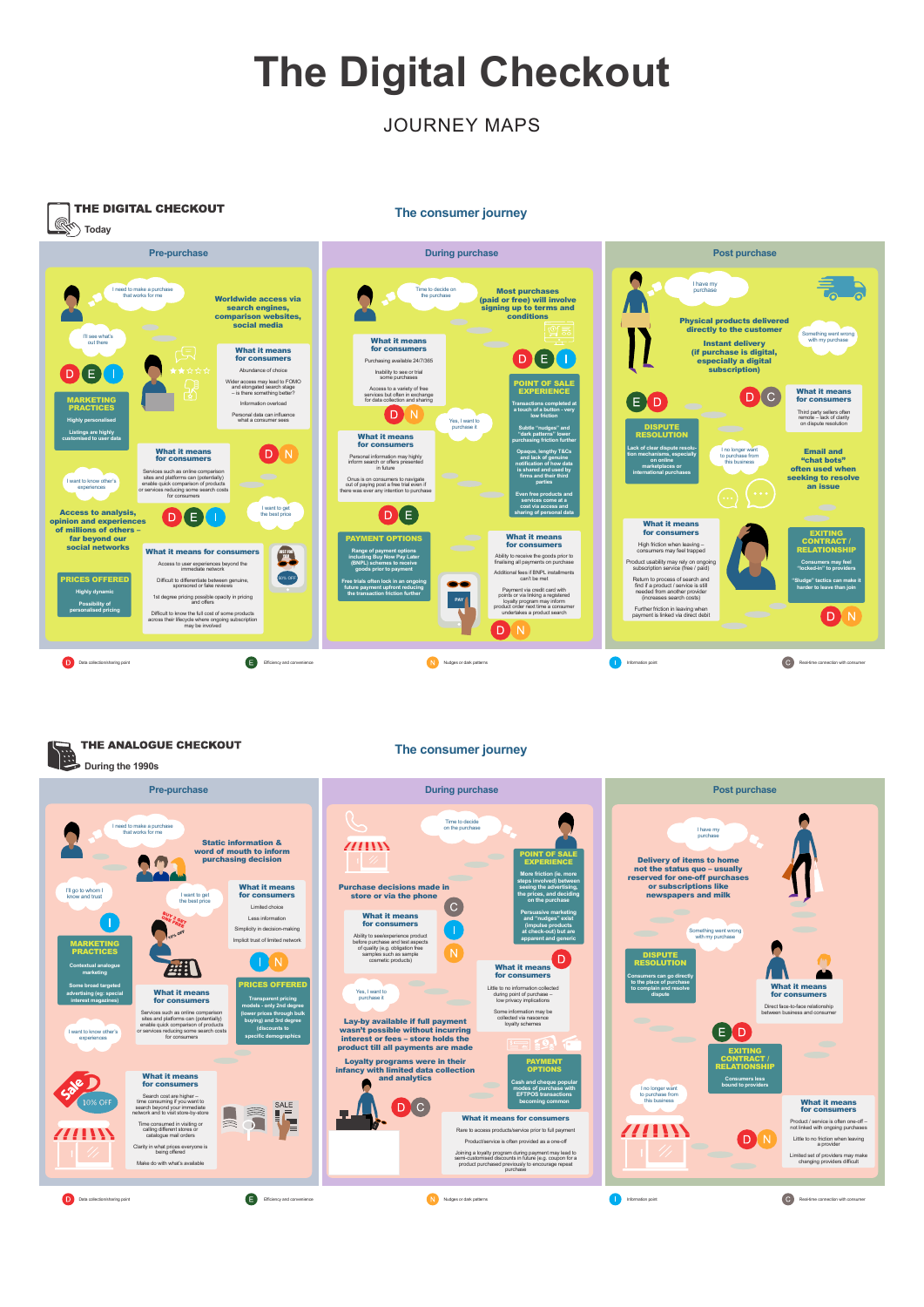## **The Digital Checkout**

### JOURNEY MAPS



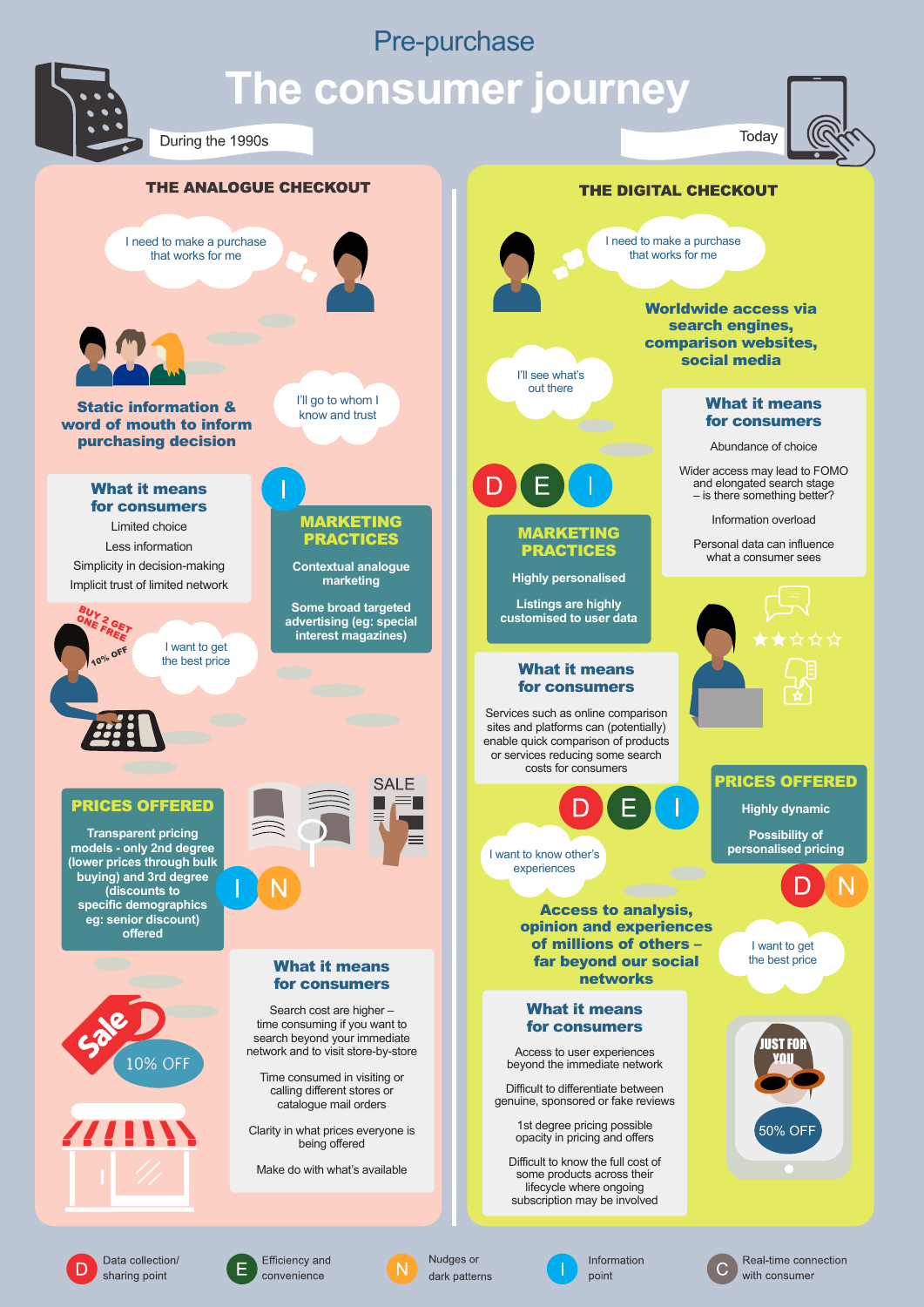## Pre-purchase



Data collection/

sharing point

Efficiency and

convenience

## **The consumer journey**



Real-time connection

with consumer



Nudges or

dark patterns

Information

point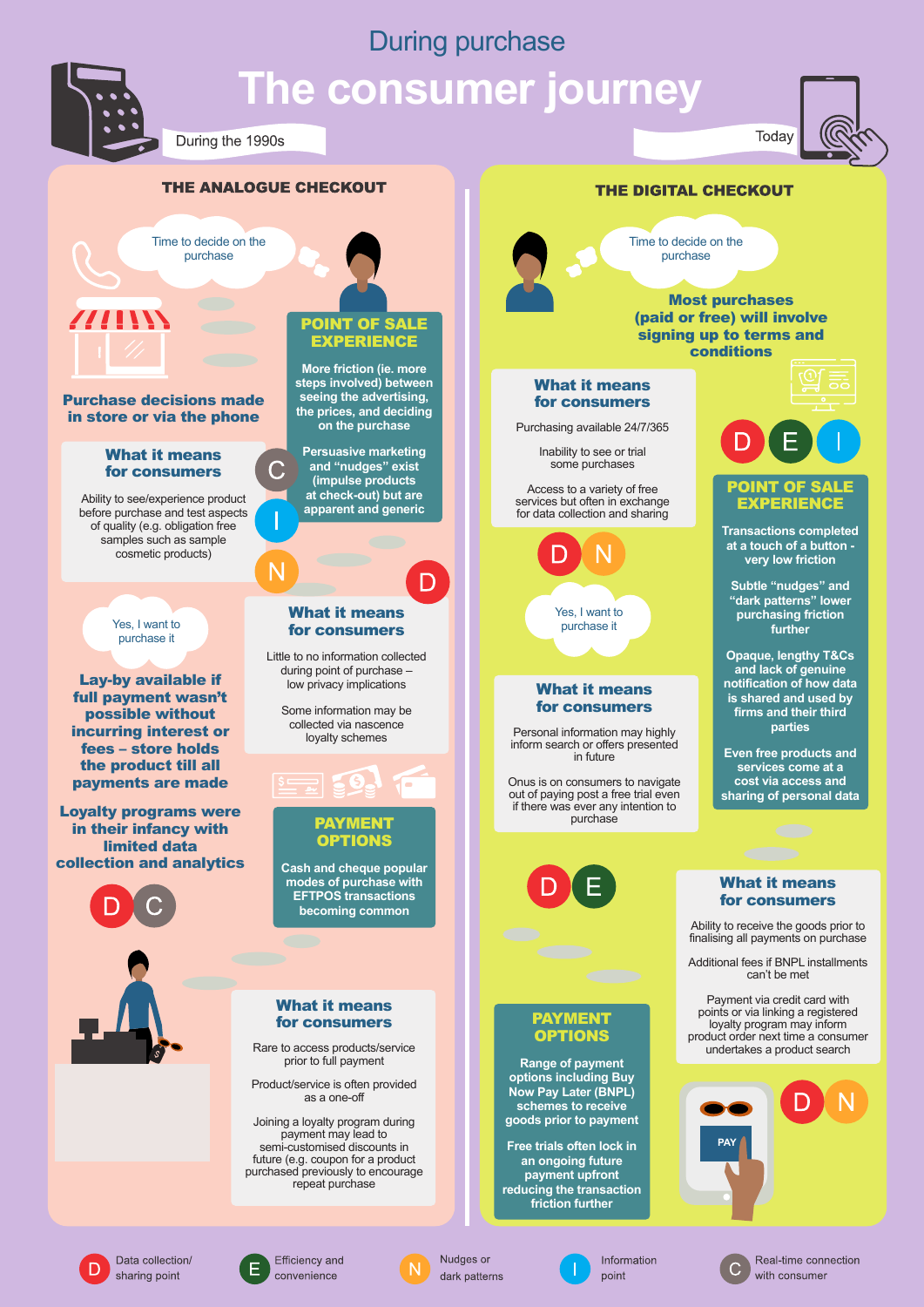# During purchase